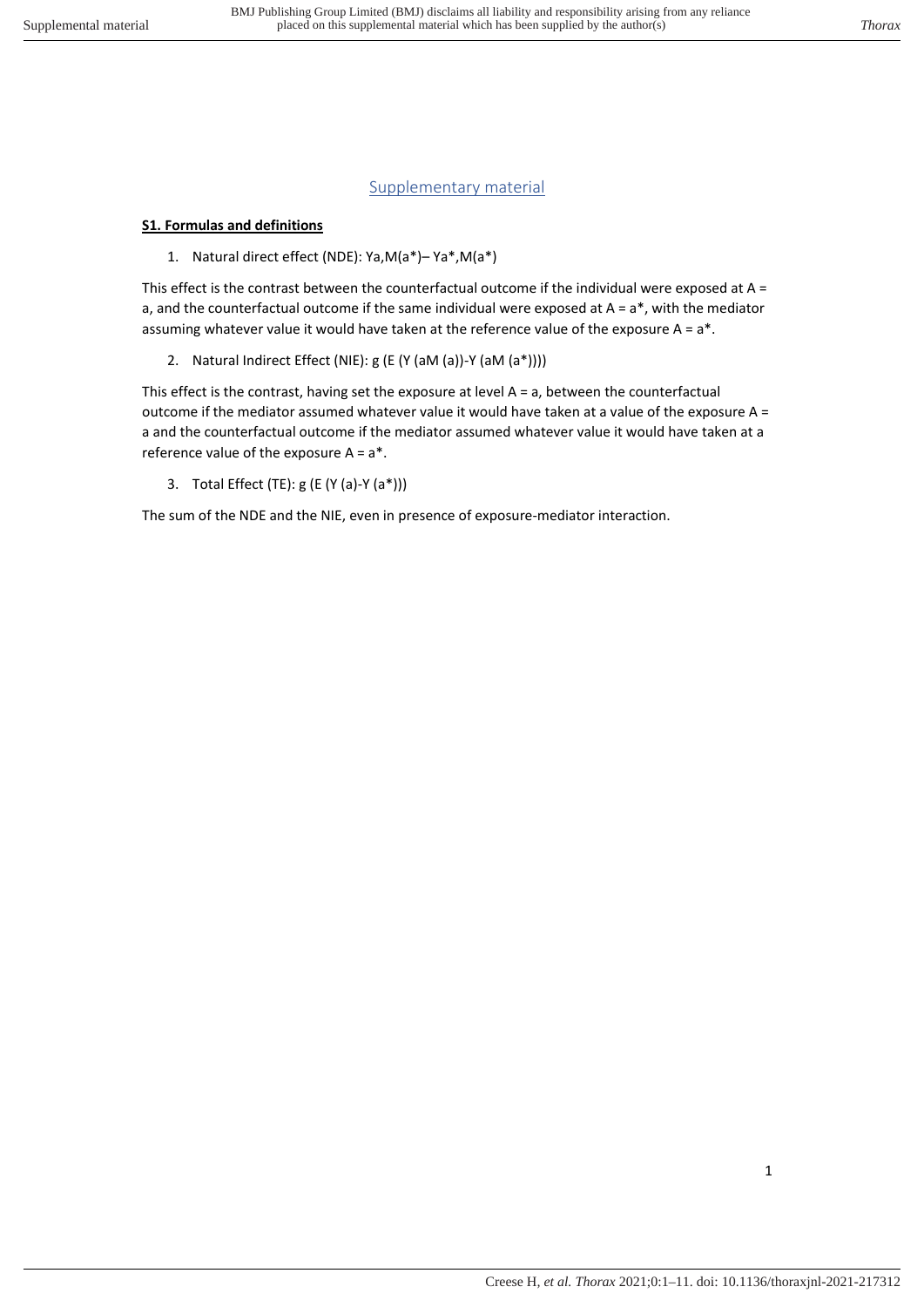# Supplementary material

# **S1. Formulas and definitions**

1. Natural direct effect (NDE): Ya,M(a\*)– Ya\*,M(a\*)

This effect is the contrast between the counterfactual outcome if the individual were exposed at  $A =$ a, and the counterfactual outcome if the same individual were exposed at  $A = a^*$ , with the mediator assuming whatever value it would have taken at the reference value of the exposure  $A = a^*$ .

2. Natural Indirect Effect (NIE): g (E (Y (aM (a))-Y (aM (a\*))))

This effect is the contrast, having set the exposure at level A = a, between the counterfactual outcome if the mediator assumed whatever value it would have taken at a value of the exposure A = a and the counterfactual outcome if the mediator assumed whatever value it would have taken at a reference value of the exposure  $A = a^*$ .

3. Total Effect (TE): g (E (Y (a)-Y (a\*)))

The sum of the NDE and the NIE, even in presence of exposure-mediator interaction.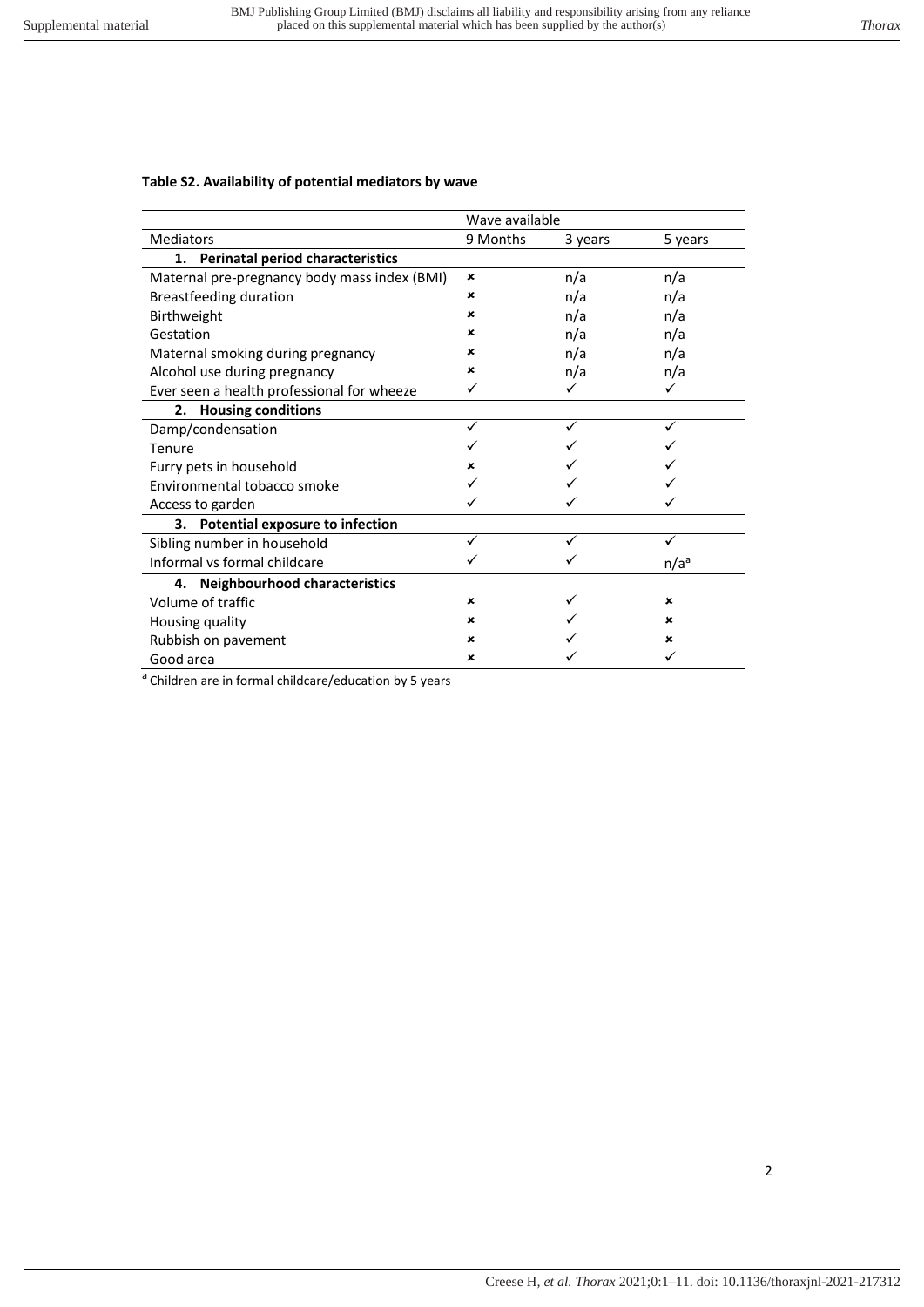### **Table S2. Availability of potential mediators by wave**

|                                               | Wave available            |         |                  |
|-----------------------------------------------|---------------------------|---------|------------------|
| <b>Mediators</b>                              | 9 Months                  | 3 years | 5 years          |
| <b>Perinatal period characteristics</b><br>1. |                           |         |                  |
| Maternal pre-pregnancy body mass index (BMI)  | ×                         | n/a     | n/a              |
| <b>Breastfeeding duration</b>                 | ×                         | n/a     | n/a              |
| <b>Birthweight</b>                            | ×                         | n/a     | n/a              |
| Gestation                                     | ×                         | n/a     | n/a              |
| Maternal smoking during pregnancy             | ×                         | n/a     | n/a              |
| Alcohol use during pregnancy                  | ×                         | n/a     | n/a              |
| Ever seen a health professional for wheeze    |                           |         |                  |
| <b>Housing conditions</b><br>2.               |                           |         |                  |
| Damp/condensation                             |                           |         |                  |
| Tenure                                        |                           |         |                  |
| Furry pets in household                       | ×                         |         |                  |
| Environmental tobacco smoke                   |                           |         |                  |
| Access to garden                              |                           |         |                  |
| 3. Potential exposure to infection            |                           |         |                  |
| Sibling number in household                   |                           |         |                  |
| Informal vs formal childcare                  |                           |         | n/a <sup>a</sup> |
| 4. Neighbourhood characteristics              |                           |         |                  |
| Volume of traffic                             | $\boldsymbol{\mathsf{x}}$ |         | $\mathbf x$      |
| Housing quality                               | ×                         |         | ×                |
| Rubbish on pavement                           | ×                         |         | ×                |
| Good area                                     | ×                         |         |                  |

 $a$  Children are in formal childcare/education by 5 years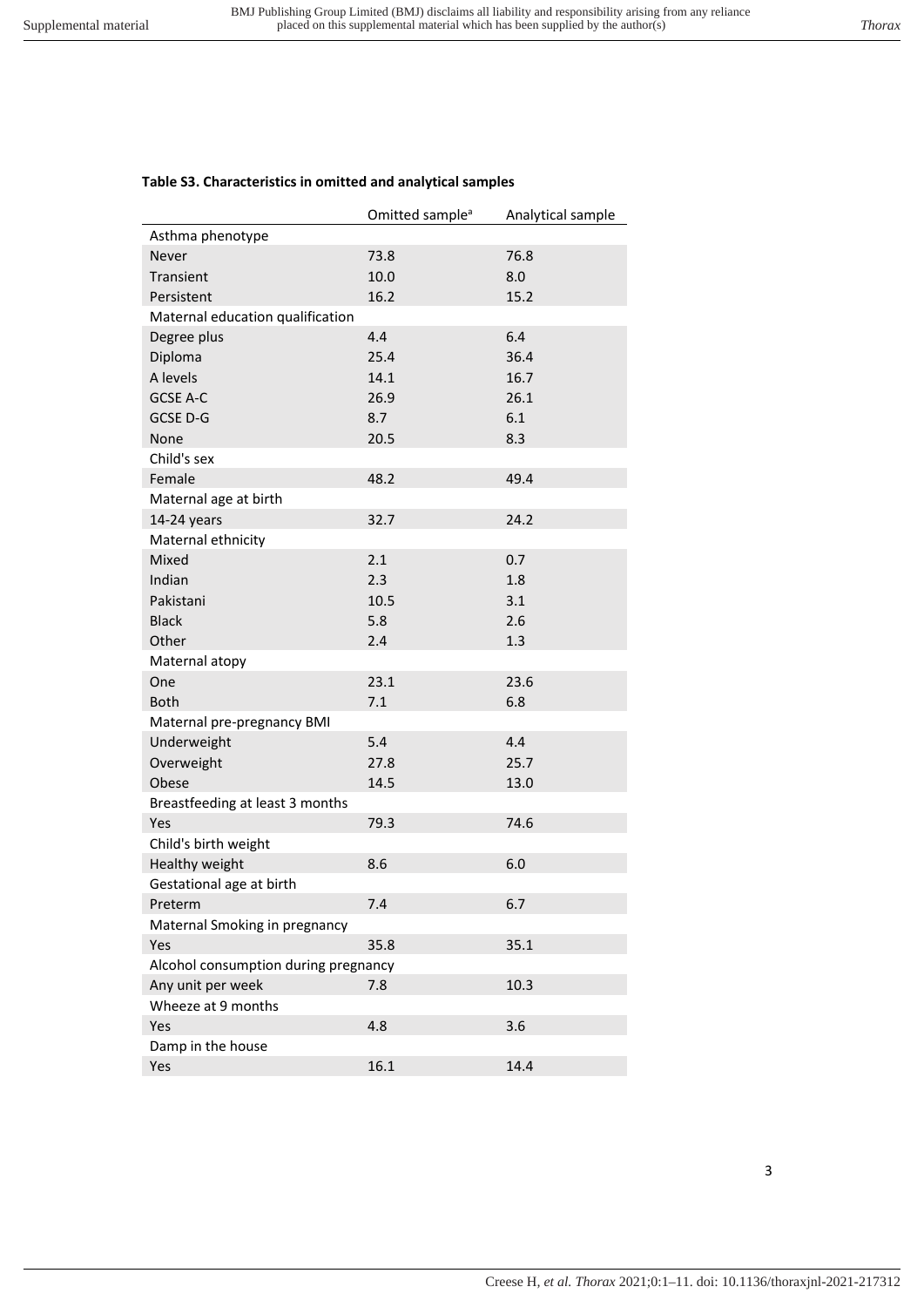# **Table S3. Characteristics in omitted and analytical samples**

|                                      | Omitted sample <sup>a</sup> | Analytical sample |
|--------------------------------------|-----------------------------|-------------------|
| Asthma phenotype                     |                             |                   |
| Never                                | 73.8                        | 76.8              |
| Transient                            | 10.0                        | 8.0               |
| Persistent                           | 16.2                        | 15.2              |
| Maternal education qualification     |                             |                   |
| Degree plus                          | 4.4                         | 6.4               |
| Diploma                              | 25.4                        | 36.4              |
| A levels                             | 14.1                        | 16.7              |
| <b>GCSE A-C</b>                      | 26.9                        | 26.1              |
| GCSE D-G                             | 8.7                         | 6.1               |
| None                                 | 20.5                        | 8.3               |
| Child's sex                          |                             |                   |
| Female                               | 48.2                        | 49.4              |
| Maternal age at birth                |                             |                   |
| 14-24 years                          | 32.7                        | 24.2              |
| Maternal ethnicity                   |                             |                   |
| Mixed                                | 2.1                         | 0.7               |
| Indian                               | 2.3                         | 1.8               |
| Pakistani                            | 10.5                        | 3.1               |
| <b>Black</b>                         | 5.8                         | 2.6               |
| Other                                | 2.4                         | 1.3               |
| Maternal atopy                       |                             |                   |
| One                                  | 23.1                        | 23.6              |
| <b>Both</b>                          | 7.1                         | 6.8               |
| Maternal pre-pregnancy BMI           |                             |                   |
| Underweight                          | 5.4                         | 4.4               |
| Overweight                           | 27.8                        | 25.7              |
| Obese                                | 14.5                        | 13.0              |
| Breastfeeding at least 3 months      |                             |                   |
| Yes                                  | 79.3                        | 74.6              |
| Child's birth weight                 |                             |                   |
| Healthy weight                       | 8.6                         | 6.0               |
| Gestational age at birth             |                             |                   |
| Preterm                              | 7.4                         | 6.7               |
| Maternal Smoking in pregnancy        |                             |                   |
| Yes                                  | 35.8                        | 35.1              |
| Alcohol consumption during pregnancy |                             |                   |
| Any unit per week                    | 7.8                         | 10.3              |
| Wheeze at 9 months                   |                             |                   |
| Yes                                  | 4.8                         | 3.6               |
| Damp in the house                    |                             |                   |
| Yes                                  | 16.1                        | 14.4              |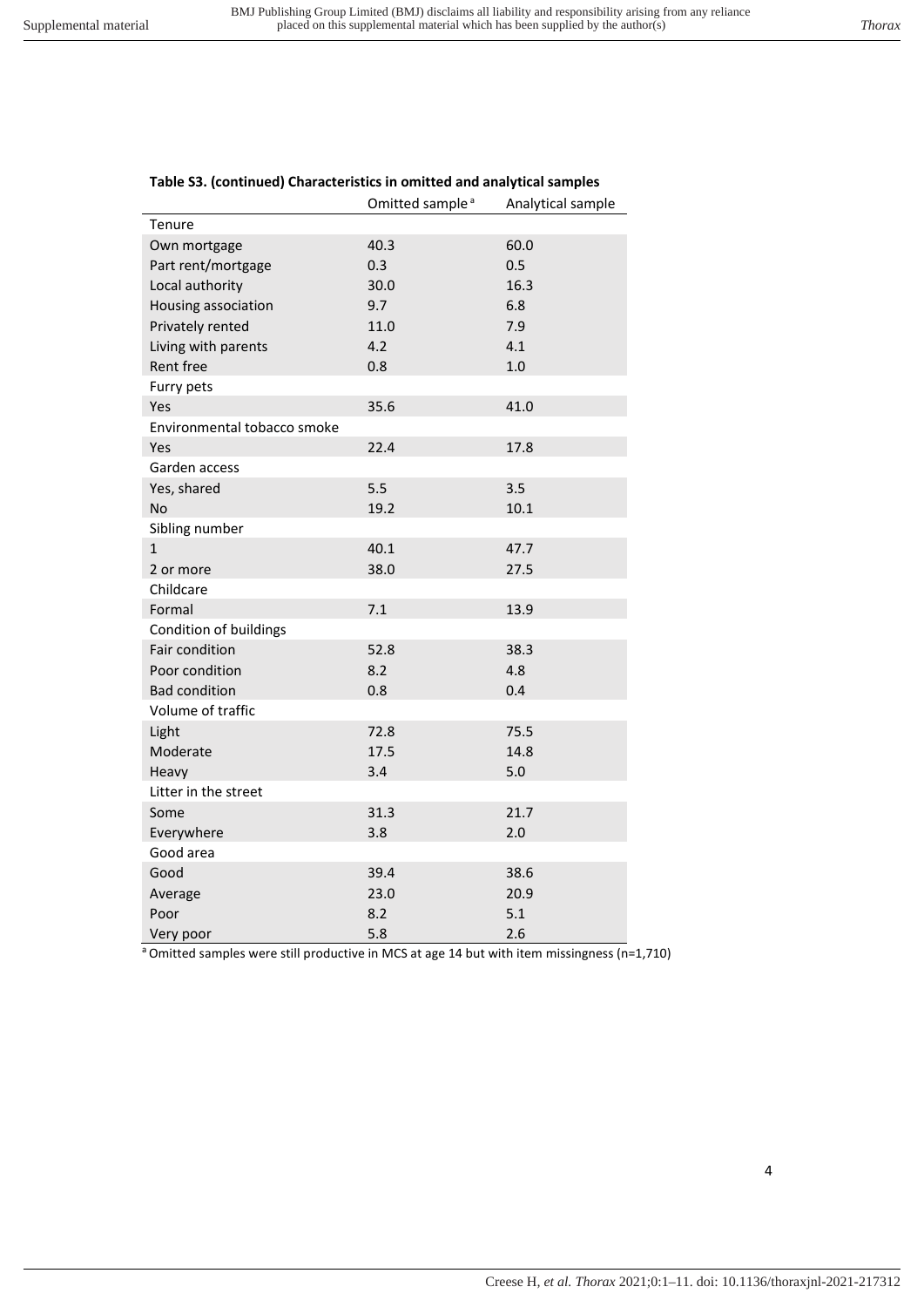|                             | Omitted sample <sup>a</sup> | Analytical sample |
|-----------------------------|-----------------------------|-------------------|
| Tenure                      |                             |                   |
| Own mortgage                | 40.3                        | 60.0              |
| Part rent/mortgage          | 0.3                         | 0.5               |
| Local authority             | 30.0                        | 16.3              |
| Housing association         | 9.7                         | 6.8               |
| Privately rented            | 11.0                        | 7.9               |
| Living with parents         | 4.2                         | 4.1               |
| Rent free                   | 0.8                         | 1.0               |
| Furry pets                  |                             |                   |
| Yes                         | 35.6                        | 41.0              |
| Environmental tobacco smoke |                             |                   |
| Yes                         | 22.4                        | 17.8              |
| Garden access               |                             |                   |
| Yes, shared                 | 5.5                         | 3.5               |
| <b>No</b>                   | 19.2                        | 10.1              |
| Sibling number              |                             |                   |
| $\mathbf{1}$                | 40.1                        | 47.7              |
| 2 or more                   | 38.0                        | 27.5              |
| Childcare                   |                             |                   |
| Formal                      | 7.1                         | 13.9              |
| Condition of buildings      |                             |                   |
| Fair condition              | 52.8                        | 38.3              |
| Poor condition              | 8.2                         | 4.8               |
| <b>Bad condition</b>        | 0.8                         | 0.4               |
| Volume of traffic           |                             |                   |
| Light                       | 72.8                        | 75.5              |
| Moderate                    | 17.5                        | 14.8              |
| Heavy                       | 3.4                         | 5.0               |
| Litter in the street        |                             |                   |
| Some                        | 31.3                        | 21.7              |
| Everywhere                  | 3.8                         | 2.0               |
| Good area                   |                             |                   |
| Good                        | 39.4                        | 38.6              |
| Average                     | 23.0                        | 20.9              |
| Poor                        | 8.2                         | 5.1               |
| Very poor<br>$-0.211$       | 5.8                         | 2.6               |

# **Table S3. (continued) Characteristics in omitted and analytical samples**

Omitted samples were still productive in MCS at age 14 but with item missingness (n=1,710)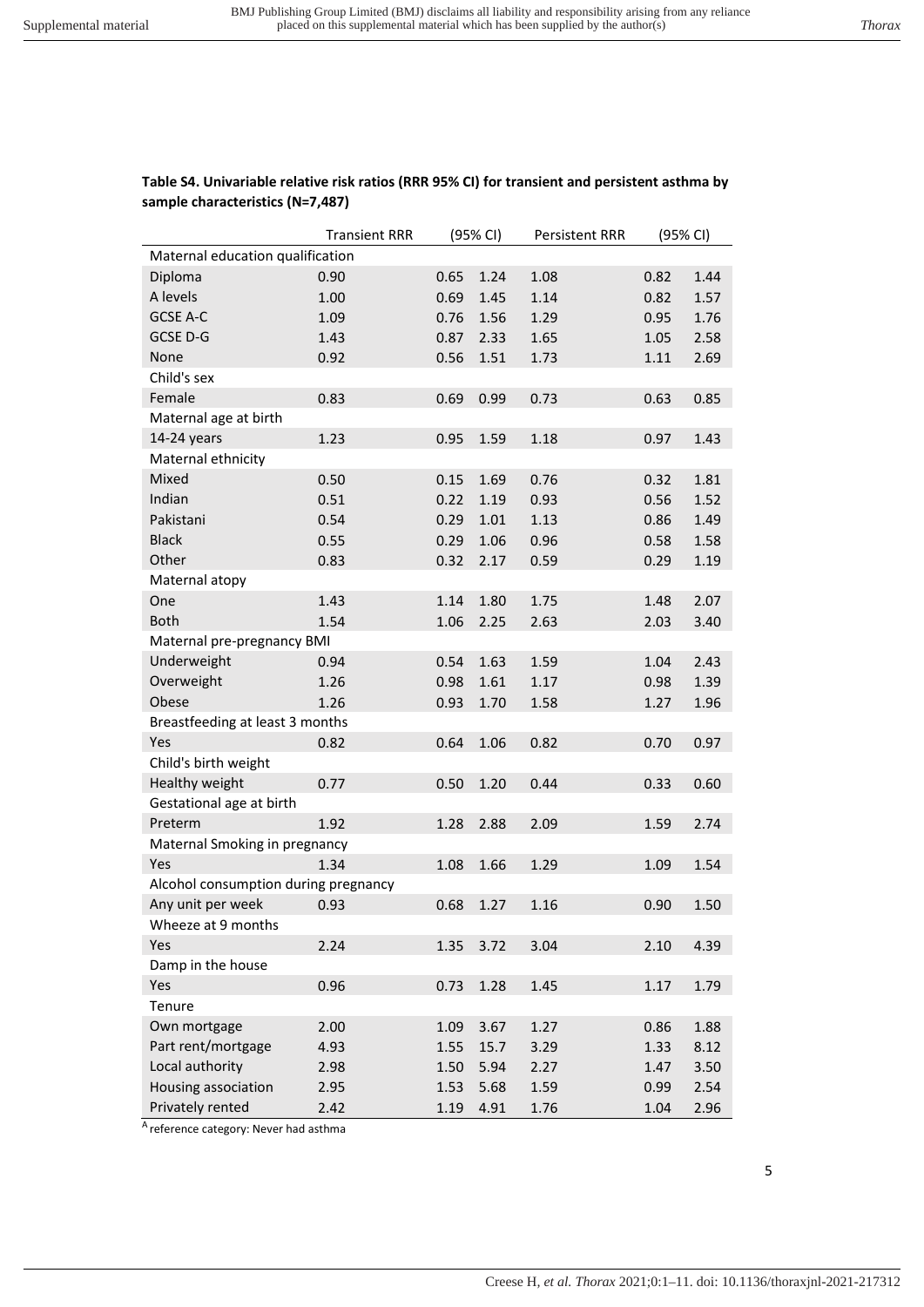|                                  | <b>Transient RRR</b> |      | (95% CI) | <b>Persistent RRR</b> |      | (95% CI) |
|----------------------------------|----------------------|------|----------|-----------------------|------|----------|
| Maternal education qualification |                      |      |          |                       |      |          |
| Diploma                          | 0.90                 | 0.65 | 1.24     | 1.08                  | 0.82 | 1.44     |
| A levels                         | 1.00                 | 0.69 | 1.45     | 1.14                  | 0.82 | 1.57     |
| GCSE A-C                         | 1.09                 | 0.76 | 1.56     | 1.29                  | 0.95 | 1.76     |
| GCSE D-G                         | 1.43                 | 0.87 | 2.33     | 1.65                  | 1.05 | 2.58     |
| None                             | 0.92                 | 0.56 | 1.51     | 1.73                  | 1.11 | 2.69     |
| Child's sex                      |                      |      |          |                       |      |          |
| Female                           | 0.83                 | 0.69 | 0.99     | 0.73                  | 0.63 | 0.85     |
| Maternal age at birth            |                      |      |          |                       |      |          |
| 14-24 years                      | 1.23                 | 0.95 | 1.59     | 1.18                  | 0.97 | 1.43     |
| Maternal ethnicity               |                      |      |          |                       |      |          |
| Mixed                            | 0.50                 | 0.15 | 1.69     | 0.76                  | 0.32 | 1.81     |
| Indian                           | 0.51                 | 0.22 | 1.19     | 0.93                  | 0.56 | 1.52     |
| Pakistani                        | 0.54                 | 0.29 | 1.01     | 1.13                  | 0.86 | 1.49     |
| <b>Black</b>                     | 0.55                 | 0.29 | 1.06     | 0.96                  | 0.58 | 1.58     |
| Other                            | 0.83                 | 0.32 | 2.17     | 0.59                  | 0.29 | 1.19     |
| Maternal atopy                   |                      |      |          |                       |      |          |
| One                              | 1.43                 | 1.14 | 1.80     | 1.75                  | 1.48 | 2.07     |
| <b>Both</b>                      | 1.54                 | 1.06 | 2.25     | 2.63                  | 2.03 | 3.40     |
| Maternal pre-pregnancy BMI       |                      |      |          |                       |      |          |

Underweight 0.94 0.54 1.63 1.59 1.04 2.43 Overweight 1.26 0.98 1.61 1.17 0.98 1.39 Obese 1.26 0.93 1.70 1.58 1.27 1.96

Yes 0.82 0.64 1.06 0.82 0.70 0.97

Healthy weight 0.77 0.50 1.20 0.44 0.33 0.60

Preterm 1.92 1.28 2.88 2.09 1.59 2.74

Yes 1.34 1.08 1.66 1.29 1.09 1.54

Any unit per week  $0.93$  0.68 1.27 1.16 0.90 1.50

Yes 2.24 1.35 3.72 3.04 2.10 4.39

Yes 0.96 0.73 1.28 1.45 1.17 1.79

Own mortgage 2.00 1.09 3.67 1.27 0.86 1.88 Part rent/mortgage 4.93 1.55 15.7 3.29 1.33 8.12 Local authority **2.98** 1.50 5.94 2.27 1.47 3.50 Housing association 2.95 1.53 5.68 1.59 0.99 2.54

# **Table S4. Univariable relative risk ratios (RRR 95% CI) for transient and persistent asthma by sample characteristics (N=7,487)**

Privately rented 2.42 1.19 4.91 1.76 1.04 2.96 <sup>A</sup> reference category: Never had asthma

Breastfeeding at least 3 months

Maternal Smoking in pregnancy

Alcohol consumption during pregnancy

Child's birth weight

Gestational age at birth

Wheeze at 9 months

Damp in the house

Tenure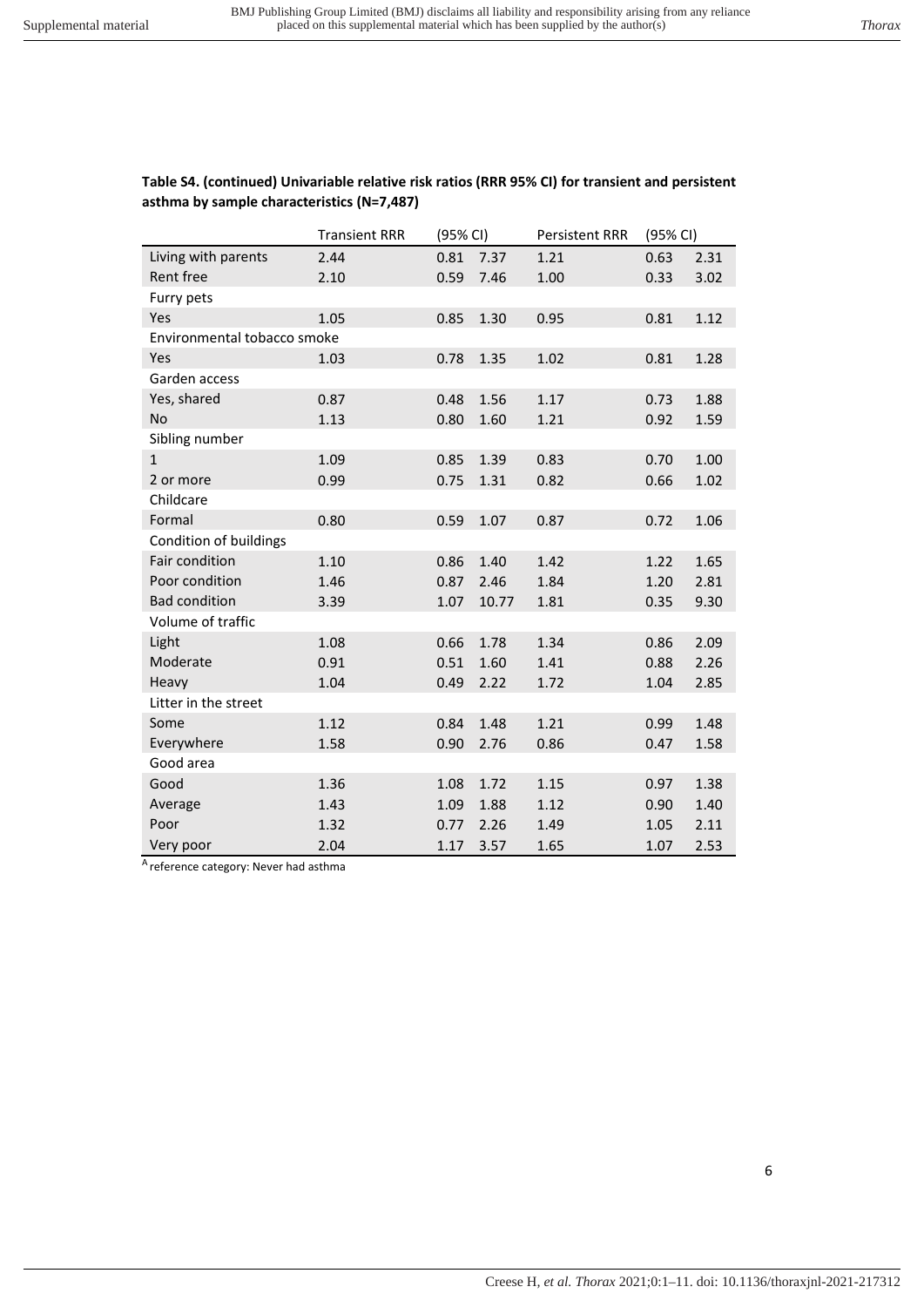# **Table S4. (continued) Univariable relative risk ratios (RRR 95% CI) for transient and persistent asthma by sample characteristics (N=7,487)**   $T_{\text{C}}$  (95% CI) Persistent PRR (95% CI)

|                             | Transient RRR | (95% CI) |       | Persistent RRR | (95% CI) |      |
|-----------------------------|---------------|----------|-------|----------------|----------|------|
| Living with parents         | 2.44          | 0.81     | 7.37  | 1.21           | 0.63     | 2.31 |
| Rent free                   | 2.10          | 0.59     | 7.46  | 1.00           | 0.33     | 3.02 |
| Furry pets                  |               |          |       |                |          |      |
| Yes                         | 1.05          | 0.85     | 1.30  | 0.95           | 0.81     | 1.12 |
| Environmental tobacco smoke |               |          |       |                |          |      |
| Yes                         | 1.03          | 0.78     | 1.35  | 1.02           | 0.81     | 1.28 |
| Garden access               |               |          |       |                |          |      |
| Yes, shared                 | 0.87          | 0.48     | 1.56  | 1.17           | 0.73     | 1.88 |
| No                          | 1.13          | 0.80     | 1.60  | 1.21           | 0.92     | 1.59 |
| Sibling number              |               |          |       |                |          |      |
| $\mathbf{1}$                | 1.09          | 0.85     | 1.39  | 0.83           | 0.70     | 1.00 |
| 2 or more                   | 0.99          | 0.75     | 1.31  | 0.82           | 0.66     | 1.02 |
| Childcare                   |               |          |       |                |          |      |
| Formal                      | 0.80          | 0.59     | 1.07  | 0.87           | 0.72     | 1.06 |
| Condition of buildings      |               |          |       |                |          |      |
| Fair condition              | 1.10          | 0.86     | 1.40  | 1.42           | 1.22     | 1.65 |
| Poor condition              | 1.46          | 0.87     | 2.46  | 1.84           | 1.20     | 2.81 |
| <b>Bad condition</b>        | 3.39          | 1.07     | 10.77 | 1.81           | 0.35     | 9.30 |
| Volume of traffic           |               |          |       |                |          |      |
| Light                       | 1.08          | 0.66     | 1.78  | 1.34           | 0.86     | 2.09 |
| Moderate                    | 0.91          | 0.51     | 1.60  | 1.41           | 0.88     | 2.26 |
| Heavy                       | 1.04          | 0.49     | 2.22  | 1.72           | 1.04     | 2.85 |
| Litter in the street        |               |          |       |                |          |      |
| Some                        | 1.12          | 0.84     | 1.48  | 1.21           | 0.99     | 1.48 |
| Everywhere                  | 1.58          | 0.90     | 2.76  | 0.86           | 0.47     | 1.58 |
| Good area                   |               |          |       |                |          |      |
| Good                        | 1.36          | 1.08     | 1.72  | 1.15           | 0.97     | 1.38 |
| Average                     | 1.43          | 1.09     | 1.88  | 1.12           | 0.90     | 1.40 |
| Poor                        | 1.32          | 0.77     | 2.26  | 1.49           | 1.05     | 2.11 |
| Very poor                   | 2.04          | 1.17     | 3.57  | 1.65           | 1.07     | 2.53 |

<sup>A</sup> reference category: Never had asthma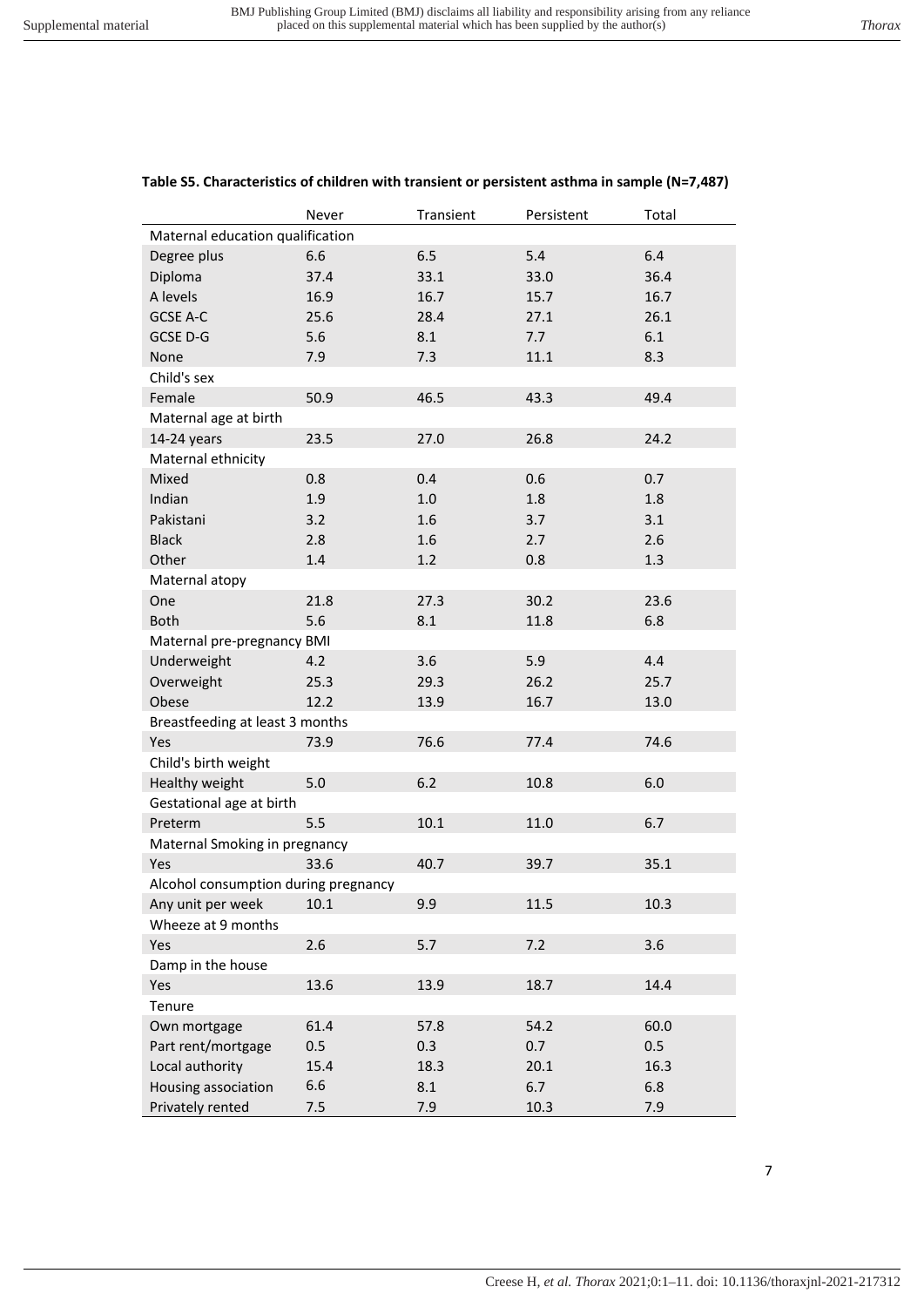Never Transient Persistent Total

| Maternal education qualification     |      |      |      |      |
|--------------------------------------|------|------|------|------|
| Degree plus                          | 6.6  | 6.5  | 5.4  | 6.4  |
| Diploma                              | 37.4 | 33.1 | 33.0 | 36.4 |
| A levels                             | 16.9 | 16.7 | 15.7 | 16.7 |
| GCSE A-C                             | 25.6 | 28.4 | 27.1 | 26.1 |
| GCSE D-G                             | 5.6  | 8.1  | 7.7  | 6.1  |
| None                                 | 7.9  | 7.3  | 11.1 | 8.3  |
| Child's sex                          |      |      |      |      |
| Female                               | 50.9 | 46.5 | 43.3 | 49.4 |
| Maternal age at birth                |      |      |      |      |
| 14-24 years                          | 23.5 | 27.0 | 26.8 | 24.2 |
| Maternal ethnicity                   |      |      |      |      |
| Mixed                                | 0.8  | 0.4  | 0.6  | 0.7  |
| Indian                               | 1.9  | 1.0  | 1.8  | 1.8  |
| Pakistani                            | 3.2  | 1.6  | 3.7  | 3.1  |
| <b>Black</b>                         | 2.8  | 1.6  | 2.7  | 2.6  |
|                                      | 1.4  | 1.2  | 0.8  | 1.3  |
| Other                                |      |      |      |      |
| Maternal atopy                       |      |      |      |      |
| One                                  | 21.8 | 27.3 | 30.2 | 23.6 |
| <b>Both</b>                          | 5.6  | 8.1  | 11.8 | 6.8  |
| Maternal pre-pregnancy BMI           |      |      |      |      |
| Underweight                          | 4.2  | 3.6  | 5.9  | 4.4  |
| Overweight                           | 25.3 | 29.3 | 26.2 | 25.7 |
| Obese                                | 12.2 | 13.9 | 16.7 | 13.0 |
| Breastfeeding at least 3 months      |      |      |      |      |
| Yes                                  | 73.9 | 76.6 | 77.4 | 74.6 |
| Child's birth weight                 |      |      |      |      |
| Healthy weight                       | 5.0  | 6.2  | 10.8 | 6.0  |
| Gestational age at birth             |      |      |      |      |
| Preterm                              | 5.5  | 10.1 | 11.0 | 6.7  |
| Maternal Smoking in pregnancy        |      |      |      |      |
| Yes                                  | 33.6 | 40.7 | 39.7 | 35.1 |
| Alcohol consumption during pregnancy |      |      |      |      |
| Any unit per week                    | 10.1 | 9.9  | 11.5 | 10.3 |
| Wheeze at 9 months                   |      |      |      |      |
| Yes                                  | 2.6  | 5.7  | 7.2  | 3.6  |
| Damp in the house                    |      |      |      |      |
| Yes                                  | 13.6 | 13.9 | 18.7 | 14.4 |
| Tenure                               |      |      |      |      |
| Own mortgage                         | 61.4 | 57.8 | 54.2 | 60.0 |
| Part rent/mortgage                   | 0.5  | 0.3  | 0.7  | 0.5  |
| Local authority                      | 15.4 | 18.3 | 20.1 | 16.3 |
| Housing association                  | 6.6  | 8.1  | 6.7  | 6.8  |
| Privately rented                     | 7.5  | 7.9  | 10.3 | 7.9  |

# **Table S5. Characteristics of children with transient or persistent asthma in sample (N=7,487)**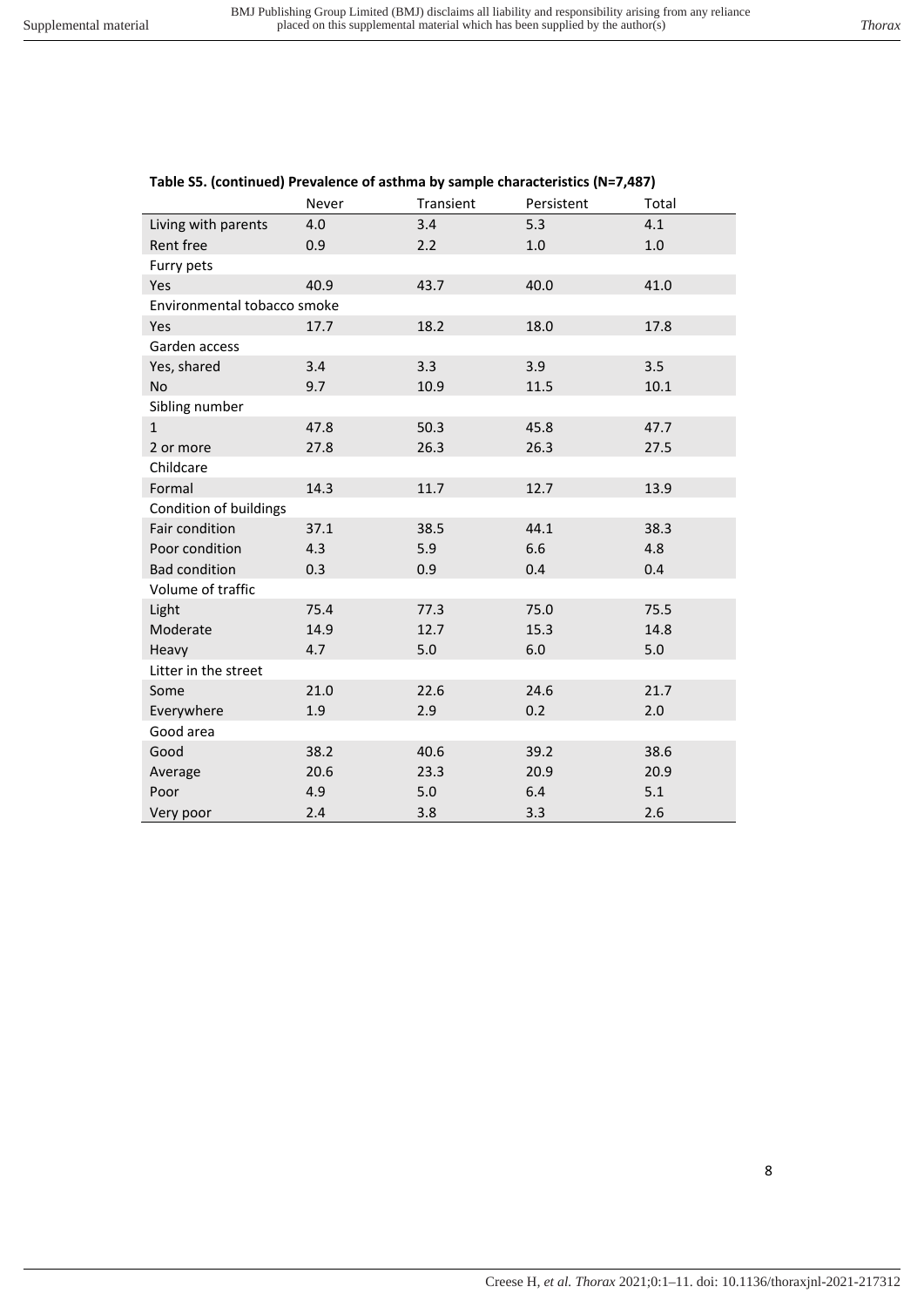|                             | Never | Transient | Persistent | Total |
|-----------------------------|-------|-----------|------------|-------|
| Living with parents         | 4.0   | 3.4       | 5.3        | 4.1   |
| Rent free                   | 0.9   | 2.2       | 1.0        | 1.0   |
| Furry pets                  |       |           |            |       |
| Yes                         | 40.9  | 43.7      | 40.0       | 41.0  |
| Environmental tobacco smoke |       |           |            |       |
| Yes                         | 17.7  | 18.2      | 18.0       | 17.8  |
| Garden access               |       |           |            |       |
| Yes, shared                 | 3.4   | 3.3       | 3.9        | 3.5   |
| No                          | 9.7   | 10.9      | 11.5       | 10.1  |
| Sibling number              |       |           |            |       |
| $\mathbf{1}$                | 47.8  | 50.3      | 45.8       | 47.7  |
| 2 or more                   | 27.8  | 26.3      | 26.3       | 27.5  |
| Childcare                   |       |           |            |       |
| Formal                      | 14.3  | 11.7      | 12.7       | 13.9  |
| Condition of buildings      |       |           |            |       |
| Fair condition              | 37.1  | 38.5      | 44.1       | 38.3  |
| Poor condition              | 4.3   | 5.9       | 6.6        | 4.8   |
| <b>Bad condition</b>        | 0.3   | 0.9       | 0.4        | 0.4   |
| Volume of traffic           |       |           |            |       |
| Light                       | 75.4  | 77.3      | 75.0       | 75.5  |
| Moderate                    | 14.9  | 12.7      | 15.3       | 14.8  |
| Heavy                       | 4.7   | 5.0       | 6.0        | 5.0   |
| Litter in the street        |       |           |            |       |
| Some                        | 21.0  | 22.6      | 24.6       | 21.7  |
| Everywhere                  | 1.9   | 2.9       | 0.2        | 2.0   |
| Good area                   |       |           |            |       |
| Good                        | 38.2  | 40.6      | 39.2       | 38.6  |
| Average                     | 20.6  | 23.3      | 20.9       | 20.9  |
| Poor                        | 4.9   | 5.0       | 6.4        | 5.1   |
| Very poor                   | 2.4   | 3.8       | 3.3        | 2.6   |

# **Table S5. (continued) Prevalence of asthma by sample characteristics (N=7,487)**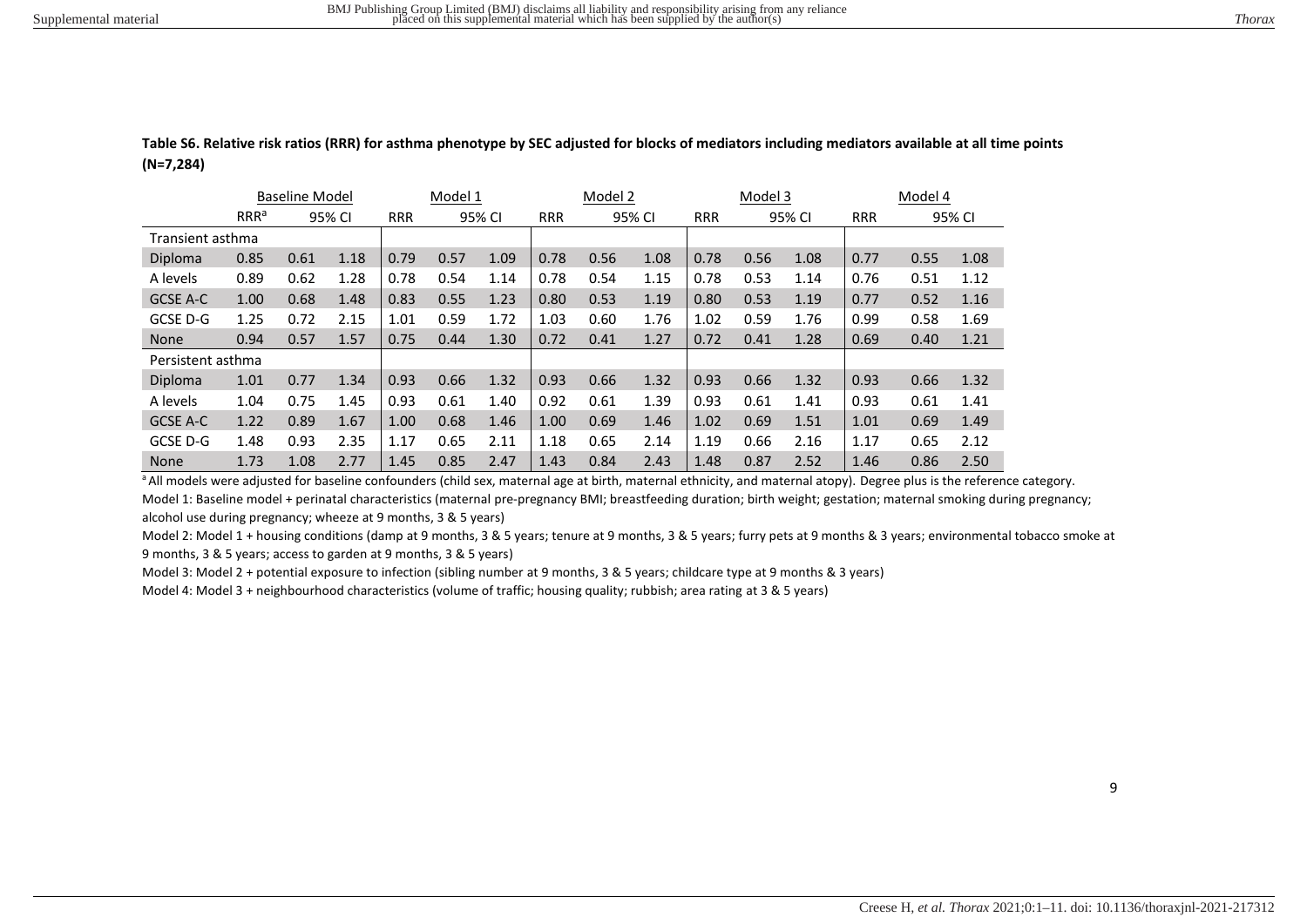**Table S6. Relative risk ratios (RRR) for asthma phenotype by SEC adjusted for blocks of mediators including mediators available at all time points (N=7,284)** 

|                   |                  | <b>Baseline Model</b> |        |            | Model 1 |        |            | Model 2 |        |            | Model 3 |        |            | Model 4 |        |
|-------------------|------------------|-----------------------|--------|------------|---------|--------|------------|---------|--------|------------|---------|--------|------------|---------|--------|
|                   | RRR <sup>a</sup> |                       | 95% CI | <b>RRR</b> |         | 95% CI | <b>RRR</b> |         | 95% CI | <b>RRR</b> |         | 95% CI | <b>RRR</b> |         | 95% CI |
|                   | Transient asthma |                       |        |            |         |        |            |         |        |            |         |        |            |         |        |
| Diploma           | 0.85             | 0.61                  | 1.18   | 0.79       | 0.57    | 1.09   | 0.78       | 0.56    | 1.08   | 0.78       | 0.56    | 1.08   | 0.77       | 0.55    | 1.08   |
| A levels          | 0.89             | 0.62                  | 1.28   | 0.78       | 0.54    | 1.14   | 0.78       | 0.54    | 1.15   | 0.78       | 0.53    | 1.14   | 0.76       | 0.51    | 1.12   |
| GCSE A-C          | 1.00             | 0.68                  | 1.48   | 0.83       | 0.55    | 1.23   | 0.80       | 0.53    | 1.19   | 0.80       | 0.53    | 1.19   | 0.77       | 0.52    | 1.16   |
| GCSE D-G          | 1.25             | 0.72                  | 2.15   | 1.01       | 0.59    | 1.72   | 1.03       | 0.60    | 1.76   | 1.02       | 0.59    | 1.76   | 0.99       | 0.58    | 1.69   |
| <b>None</b>       | 0.94             | 0.57                  | 1.57   | 0.75       | 0.44    | 1.30   | 0.72       | 0.41    | 1.27   | 0.72       | 0.41    | 1.28   | 0.69       | 0.40    | 1.21   |
| Persistent asthma |                  |                       |        |            |         |        |            |         |        |            |         |        |            |         |        |
| Diploma           | 1.01             | 0.77                  | 1.34   | 0.93       | 0.66    | 1.32   | 0.93       | 0.66    | 1.32   | 0.93       | 0.66    | 1.32   | 0.93       | 0.66    | 1.32   |
| A levels          | 1.04             | 0.75                  | 1.45   | 0.93       | 0.61    | 1.40   | 0.92       | 0.61    | 1.39   | 0.93       | 0.61    | 1.41   | 0.93       | 0.61    | 1.41   |
| GCSE A-C          | 1.22             | 0.89                  | 1.67   | 1.00       | 0.68    | 1.46   | 1.00       | 0.69    | 1.46   | 1.02       | 0.69    | 1.51   | 1.01       | 0.69    | 1.49   |
| GCSE D-G          | 1.48             | 0.93                  | 2.35   | 1.17       | 0.65    | 2.11   | 1.18       | 0.65    | 2.14   | 1.19       | 0.66    | 2.16   | 1.17       | 0.65    | 2.12   |
| <b>None</b>       | 1.73             | 1.08                  | 2.77   | 1.45       | 0.85    | 2.47   | 1.43       | 0.84    | 2.43   | 1.48       | 0.87    | 2.52   | 1.46       | 0.86    | 2.50   |

<sup>a</sup> All models were adjusted for baseline confounders (child sex, maternal age at birth, maternal ethnicity, and maternal atopy). Degree plus is the reference category. Model 1: Baseline model + perinatal characteristics (maternal pre-pregnancy BMI; breastfeeding duration; birth weight; gestation; maternal smoking during pregnancy; alcohol use during pregnancy; wheeze at 9 months, 3 & 5 years)

Model 2: Model 1 + housing conditions (damp at 9 months, 3 & 5 years; tenure at 9 months, 3 & 5 years; furry pets at 9 months & 3 years; environmental tobacco smoke at 9 months, 3 & 5 years; access to garden at 9 months, 3 & 5 years)

Model 3: Model 2 + potential exposure to infection (sibling number at 9 months, 3 & 5 years; childcare type at 9 months & 3 years)

Model 4: Model 3 + neighbourhood characteristics (volume of traffic; housing quality; rubbish; area rating at 3 & 5 years)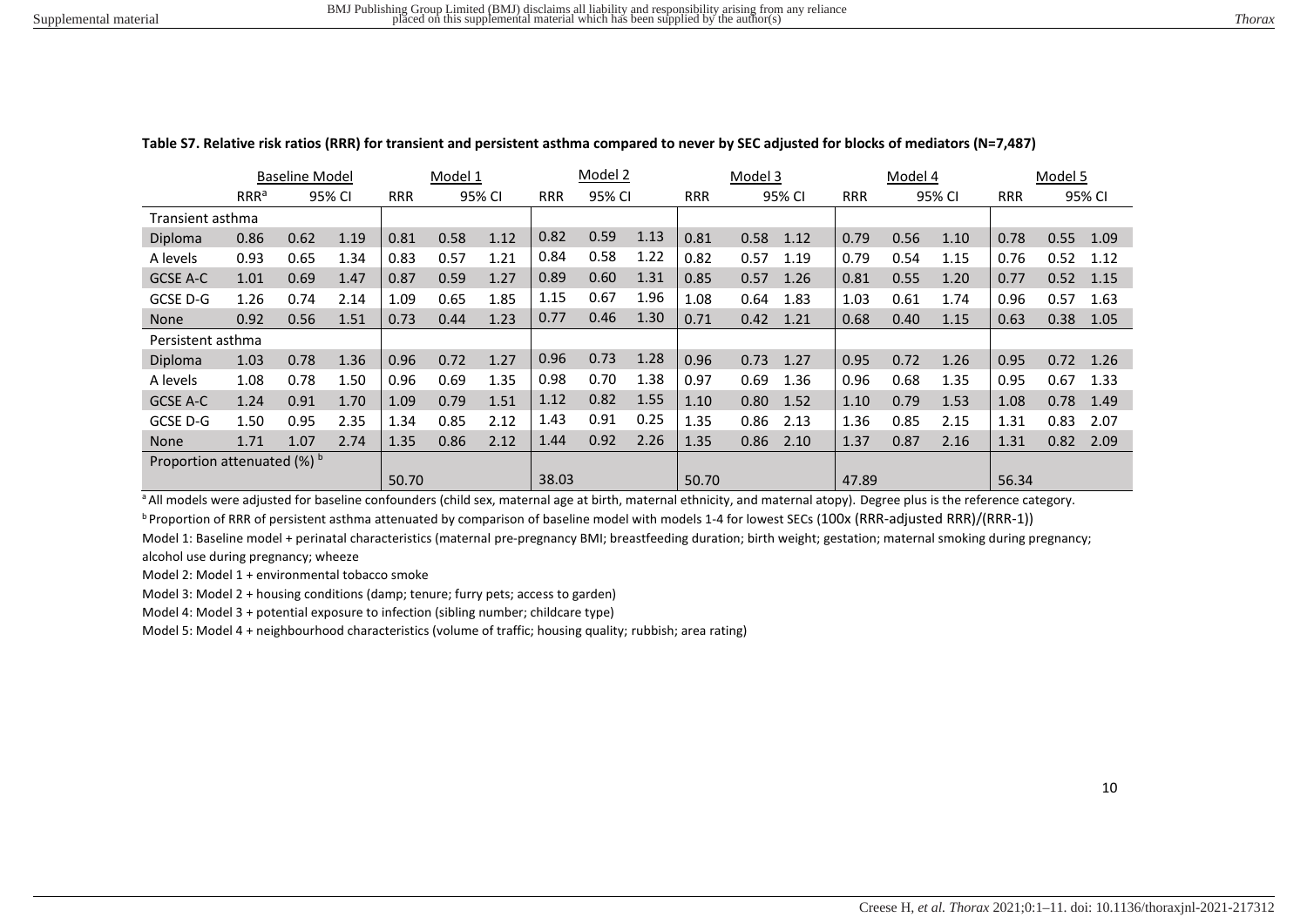|                             |                  | <b>Baseline Model</b> |        |            | Model 1 |        |            | Model 2 |      |            | Model 3 |        |            | Model 4 |        |            | Model 5 |        |
|-----------------------------|------------------|-----------------------|--------|------------|---------|--------|------------|---------|------|------------|---------|--------|------------|---------|--------|------------|---------|--------|
|                             | RRR <sup>a</sup> |                       | 95% CI | <b>RRR</b> |         | 95% CI | <b>RRR</b> | 95% CI  |      | <b>RRR</b> |         | 95% CI | <b>RRR</b> |         | 95% CI | <b>RRR</b> |         | 95% CI |
| Transient asthma            |                  |                       |        |            |         |        |            |         |      |            |         |        |            |         |        |            |         |        |
| Diploma                     | 0.86             | 0.62                  | 1.19   | 0.81       | 0.58    | 1.12   | 0.82       | 0.59    | 1.13 | 0.81       | 0.58    | 1.12   | 0.79       | 0.56    | 1.10   | 0.78       | 0.55    | 1.09   |
| A levels                    | 0.93             | 0.65                  | 1.34   | 0.83       | 0.57    | 1.21   | 0.84       | 0.58    | 1.22 | 0.82       | 0.57    | 1.19   | 0.79       | 0.54    | 1.15   | 0.76       | 0.52    | 1.12   |
| GCSE A-C                    | 1.01             | 0.69                  | 1.47   | 0.87       | 0.59    | 1.27   | 0.89       | 0.60    | 1.31 | 0.85       | 0.57    | 1.26   | 0.81       | 0.55    | 1.20   | 0.77       | 0.52    | 1.15   |
| GCSE D-G                    | 1.26             | 0.74                  | 2.14   | 1.09       | 0.65    | 1.85   | 1.15       | 0.67    | 1.96 | 1.08       | 0.64    | 1.83   | 1.03       | 0.61    | 1.74   | 0.96       | 0.57    | 1.63   |
| <b>None</b>                 | 0.92             | 0.56                  | 1.51   | 0.73       | 0.44    | 1.23   | 0.77       | 0.46    | 1.30 | 0.71       | 0.42    | 1.21   | 0.68       | 0.40    | 1.15   | 0.63       | 0.38    | 1.05   |
| Persistent asthma           |                  |                       |        |            |         |        |            |         |      |            |         |        |            |         |        |            |         |        |
| Diploma                     | 1.03             | 0.78                  | 1.36   | 0.96       | 0.72    | 1.27   | 0.96       | 0.73    | 1.28 | 0.96       | 0.73    | 1.27   | 0.95       | 0.72    | 1.26   | 0.95       | 0.72    | 1.26   |
| A levels                    | 1.08             | 0.78                  | 1.50   | 0.96       | 0.69    | 1.35   | 0.98       | 0.70    | 1.38 | 0.97       | 0.69    | 1.36   | 0.96       | 0.68    | 1.35   | 0.95       | 0.67    | 1.33   |
| GCSE A-C                    | 1.24             | 0.91                  | 1.70   | 1.09       | 0.79    | 1.51   | 1.12       | 0.82    | 1.55 | 1.10       | 0.80    | 1.52   | 1.10       | 0.79    | 1.53   | 1.08       | 0.78    | 1.49   |
| GCSE D-G                    | 1.50             | 0.95                  | 2.35   | 1.34       | 0.85    | 2.12   | 1.43       | 0.91    | 0.25 | 1.35       | 0.86    | 2.13   | 1.36       | 0.85    | 2.15   | 1.31       | 0.83    | 2.07   |
| <b>None</b>                 | 1.71             | 1.07                  | 2.74   | 1.35       | 0.86    | 2.12   | 1.44       | 0.92    | 2.26 | 1.35       | 0.86    | 2.10   | 1.37       | 0.87    | 2.16   | 1.31       | 0.82    | 2.09   |
| Proportion attenuated (%) b |                  |                       |        |            |         |        |            |         |      |            |         |        |            |         |        |            |         |        |
|                             |                  |                       |        | 50.70      |         |        | 38.03      |         |      | 50.70      |         |        | 47.89      |         |        | 56.34      |         |        |

#### **Table S7. Relative risk ratios (RRR) for transient and persistent asthma compared to never by SEC adjusted for blocks of mediators (N=7,487)**

<sup>a</sup> All models were adjusted for baseline confounders (child sex, maternal age at birth, maternal ethnicity, and maternal atopy). Degree plus is the reference category.

**b** Proportion of RRR of persistent asthma attenuated by comparison of baseline model with models 1-4 for lowest SECs (100x (RRR-adjusted RRR)/(RRR-1))

Model 1: Baseline model + perinatal characteristics (maternal pre-pregnancy BMI; breastfeeding duration; birth weight; gestation; maternal smoking during pregnancy; alcohol use during pregnancy; wheeze

Model 2: Model 1 + environmental tobacco smoke

Model 3: Model 2 + housing conditions (damp; tenure; furry pets; access to garden)

Model 4: Model 3 + potential exposure to infection (sibling number; childcare type)

Model 5: Model 4 + neighbourhood characteristics (volume of traffic; housing quality; rubbish; area rating)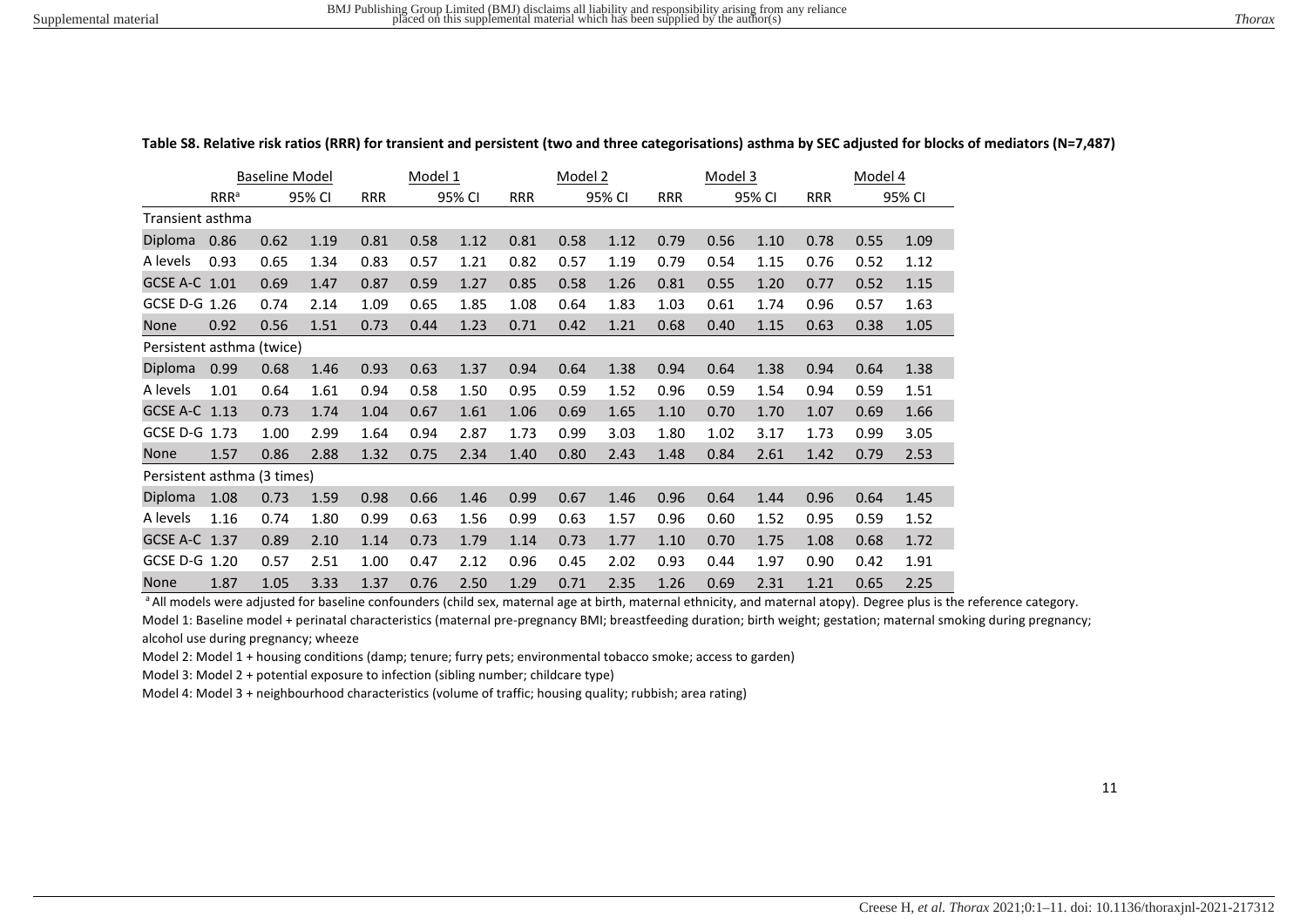|                             |                         | <b>Baseline Model</b> |        |            | Model 1 |        |            | Model 2 |        |            | Model 3 |        |            | Model 4 |        |
|-----------------------------|-------------------------|-----------------------|--------|------------|---------|--------|------------|---------|--------|------------|---------|--------|------------|---------|--------|
|                             | <b>RRR</b> <sup>a</sup> |                       | 95% CI | <b>RRR</b> |         | 95% CI | <b>RRR</b> |         | 95% CI | <b>RRR</b> |         | 95% CI | <b>RRR</b> |         | 95% CI |
| Transient asthma            |                         |                       |        |            |         |        |            |         |        |            |         |        |            |         |        |
| Diploma                     | 0.86                    | 0.62                  | 1.19   | 0.81       | 0.58    | 1.12   | 0.81       | 0.58    | 1.12   | 0.79       | 0.56    | 1.10   | 0.78       | 0.55    | 1.09   |
| A levels                    | 0.93                    | 0.65                  | 1.34   | 0.83       | 0.57    | 1.21   | 0.82       | 0.57    | 1.19   | 0.79       | 0.54    | 1.15   | 0.76       | 0.52    | 1.12   |
| GCSE A-C 1.01               |                         | 0.69                  | 1.47   | 0.87       | 0.59    | 1.27   | 0.85       | 0.58    | 1.26   | 0.81       | 0.55    | 1.20   | 0.77       | 0.52    | 1.15   |
| GCSE D-G 1.26               |                         | 0.74                  | 2.14   | 1.09       | 0.65    | 1.85   | 1.08       | 0.64    | 1.83   | 1.03       | 0.61    | 1.74   | 0.96       | 0.57    | 1.63   |
| <b>None</b>                 | 0.92                    | 0.56                  | 1.51   | 0.73       | 0.44    | 1.23   | 0.71       | 0.42    | 1.21   | 0.68       | 0.40    | 1.15   | 0.63       | 0.38    | 1.05   |
| Persistent asthma (twice)   |                         |                       |        |            |         |        |            |         |        |            |         |        |            |         |        |
| Diploma                     | 0.99                    | 0.68                  | 1.46   | 0.93       | 0.63    | 1.37   | 0.94       | 0.64    | 1.38   | 0.94       | 0.64    | 1.38   | 0.94       | 0.64    | 1.38   |
| A levels                    | 1.01                    | 0.64                  | 1.61   | 0.94       | 0.58    | 1.50   | 0.95       | 0.59    | 1.52   | 0.96       | 0.59    | 1.54   | 0.94       | 0.59    | 1.51   |
| GCSE A-C 1.13               |                         | 0.73                  | 1.74   | 1.04       | 0.67    | 1.61   | 1.06       | 0.69    | 1.65   | 1.10       | 0.70    | 1.70   | 1.07       | 0.69    | 1.66   |
| GCSE D-G                    | 1.73                    | 1.00                  | 2.99   | 1.64       | 0.94    | 2.87   | 1.73       | 0.99    | 3.03   | 1.80       | 1.02    | 3.17   | 1.73       | 0.99    | 3.05   |
| None                        | 1.57                    | 0.86                  | 2.88   | 1.32       | 0.75    | 2.34   | 1.40       | 0.80    | 2.43   | 1.48       | 0.84    | 2.61   | 1.42       | 0.79    | 2.53   |
| Persistent asthma (3 times) |                         |                       |        |            |         |        |            |         |        |            |         |        |            |         |        |
| Diploma                     | 1.08                    | 0.73                  | 1.59   | 0.98       | 0.66    | 1.46   | 0.99       | 0.67    | 1.46   | 0.96       | 0.64    | 1.44   | 0.96       | 0.64    | 1.45   |
| A levels                    | 1.16                    | 0.74                  | 1.80   | 0.99       | 0.63    | 1.56   | 0.99       | 0.63    | 1.57   | 0.96       | 0.60    | 1.52   | 0.95       | 0.59    | 1.52   |
| GCSE A-C 1.37               |                         | 0.89                  | 2.10   | 1.14       | 0.73    | 1.79   | 1.14       | 0.73    | 1.77   | 1.10       | 0.70    | 1.75   | 1.08       | 0.68    | 1.72   |
| GCSE D-G                    | 1.20                    | 0.57                  | 2.51   | 1.00       | 0.47    | 2.12   | 0.96       | 0.45    | 2.02   | 0.93       | 0.44    | 1.97   | 0.90       | 0.42    | 1.91   |
| None                        | 1.87                    | 1.05                  | 3.33   | 1.37       | 0.76    | 2.50   | 1.29       | 0.71    | 2.35   | 1.26       | 0.69    | 2.31   | 1.21       | 0.65    | 2.25   |

**Table S8. Relative risk ratios (RRR) for transient and persistent (two and three categorisations) asthma by SEC adjusted for blocks of mediators (N=7,487)** 

a All models were adjusted for baseline confounders (child sex, maternal age at birth, maternal ethnicity, and maternal atopy). Degree plus is the reference category. Model 1: Baseline model + perinatal characteristics (maternal pre-pregnancy BMI; breastfeeding duration; birth weight; gestation; maternal smoking during pregnancy; alcohol use during pregnancy; wheeze

Model 2: Model 1 + housing conditions (damp; tenure; furry pets; environmental tobacco smoke; access to garden)

Model 3: Model 2 + potential exposure to infection (sibling number; childcare type)

Model 4: Model 3 + neighbourhood characteristics (volume of traffic; housing quality; rubbish; area rating)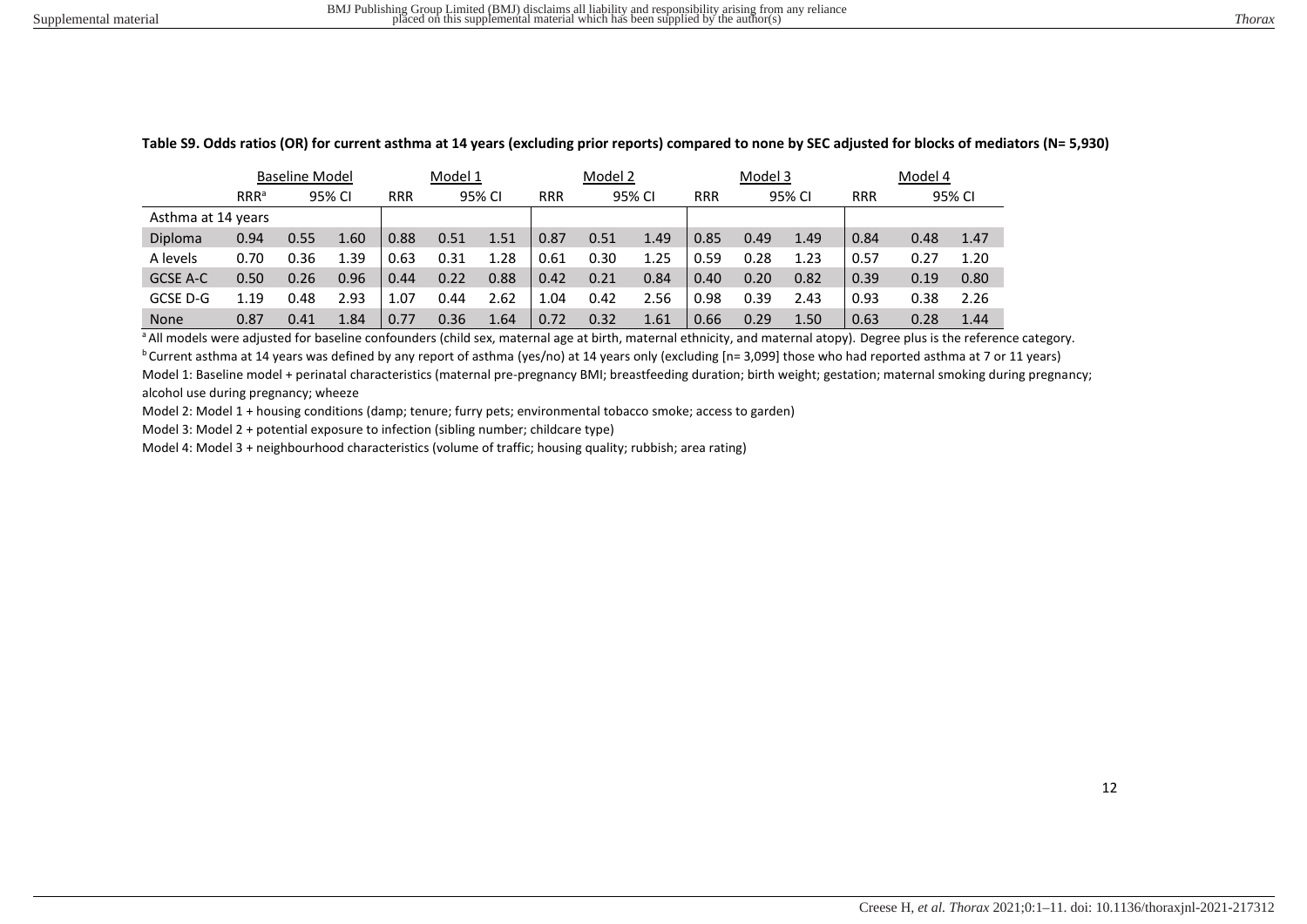|                    | <b>Baseline Model</b> |      |        | Model 1    |      |        | Model 2              |      |            |        | Model 3 |            |      | Model 4 |      |
|--------------------|-----------------------|------|--------|------------|------|--------|----------------------|------|------------|--------|---------|------------|------|---------|------|
|                    | RRR <sup>a</sup>      |      | 95% CI | <b>RRR</b> |      | 95% CI | <b>RRR</b><br>95% CI |      | <b>RRR</b> | 95% CI |         | <b>RRR</b> |      | 95% CI  |      |
| Asthma at 14 years |                       |      |        |            |      |        |                      |      |            |        |         |            |      |         |      |
| Diploma            | 0.94                  | 0.55 | 1.60   | 0.88       | 0.51 | 1.51   | 0.87                 | 0.51 | 1.49       | 0.85   | 0.49    | 1.49       | 0.84 | 0.48    | 1.47 |
| A levels           | 0.70                  | 0.36 | 1.39   | 0.63       | 0.31 | 1.28   | 0.61                 | 0.30 | 1.25       | 0.59   | 0.28    | 1.23       | 0.57 | 0.27    | 1.20 |
| GCSE A-C           | 0.50                  | 0.26 | 0.96   | 0.44       | 0.22 | 0.88   | 0.42                 | 0.21 | 0.84       | 0.40   | 0.20    | 0.82       | 0.39 | 0.19    | 0.80 |
| GCSE D-G           | 1.19                  | 0.48 | 2.93   | 1.07       | 0.44 | 2.62   | 1.04                 | 0.42 | 2.56       | 0.98   | 0.39    | 2.43       | 0.93 | 0.38    | 2.26 |
| <b>None</b>        | 0.87                  | 0.41 | 1.84   | 0.77       | 0.36 | 1.64   | 0.72                 | 0.32 | 1.61       | 0.66   | 0.29    | 1.50       | 0.63 | 0.28    | 1.44 |

**Table S9. Odds ratios (OR) for current asthma at 14 years (excluding prior reports) compared to none by SEC adjusted for blocks of mediators (N= 5,930)** 

<sup>a</sup> All models were adjusted for baseline confounders (child sex, maternal age at birth, maternal ethnicity, and maternal atopy). Degree plus is the reference category.  $b$ Current asthma at 14 years was defined by any report of asthma (yes/no) at 14 years only (excluding [n= 3,099] those who had reported asthma at 7 or 11 years) Model 1: Baseline model + perinatal characteristics (maternal pre-pregnancy BMI; breastfeeding duration; birth weight; gestation; maternal smoking during pregnancy;

alcohol use during pregnancy; wheeze

Model 2: Model 1 + housing conditions (damp; tenure; furry pets; environmental tobacco smoke; access to garden)

Model 3: Model 2 + potential exposure to infection (sibling number; childcare type)

Model 4: Model 3 + neighbourhood characteristics (volume of traffic; housing quality; rubbish; area rating)